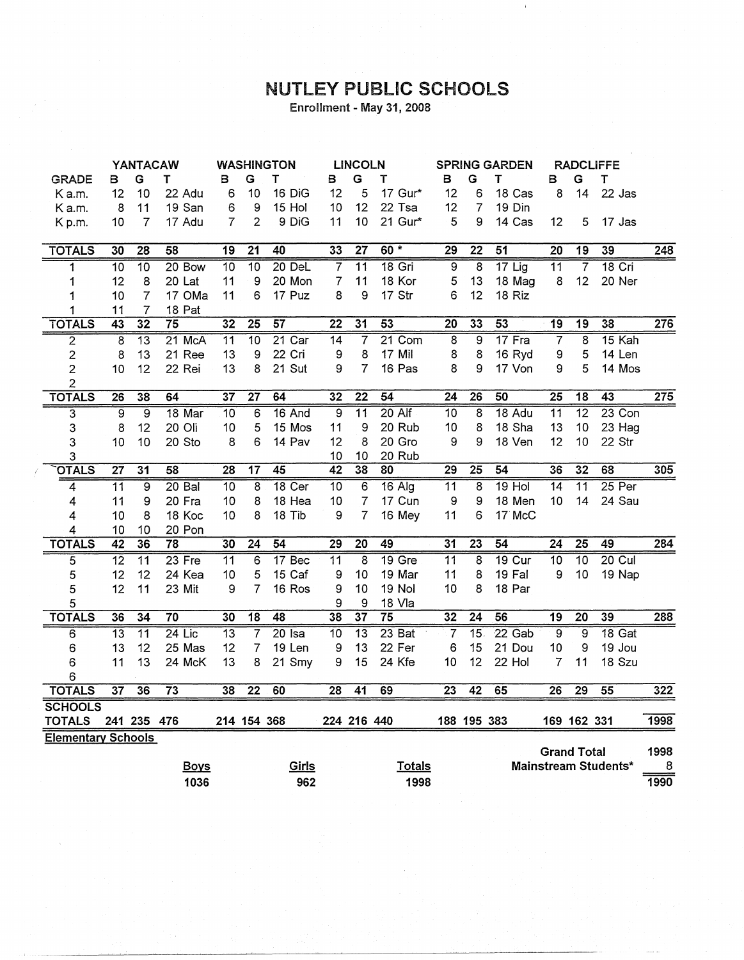## NUTLEY PUBLIC SCHOOLS

Enrollment - May 31, 2008

|                           | <b>YANTACAW</b>         |                 | <b>WASHINGTON</b> |                 | <b>LINCOLN</b>  |          | <b>SPRING GARDEN</b> |                 |                 | <b>RADCLIFFE</b> |                 |                   |                 |                    |                             |                  |
|---------------------------|-------------------------|-----------------|-------------------|-----------------|-----------------|----------|----------------------|-----------------|-----------------|------------------|-----------------|-------------------|-----------------|--------------------|-----------------------------|------------------|
| <b>GRADE</b>              | в                       | G               | т                 | в               | G               | T        | в                    | G               | т               | в                | G               | T                 | в               | G                  | т                           |                  |
| K a.m.                    | 12                      | 10              | 22 Adu            | 6               | 10              | 16 DiG   | 12                   | 5               | 17 Gur*         | 12               | 6               | 18 Cas            | 8               | 14                 | 22 Jas                      |                  |
| K a.m.                    | 8                       | 11              | 19 San            | 6               | 9               | 15 Hol   | 10                   | 12              | 22 Tsa          | 12               | 7               | 19 Din            |                 |                    |                             |                  |
| Kp.m.                     | 10                      | 7               | 17 Adu            | 7               | $\overline{2}$  | 9 DiG    | 11                   | 10              | 21 Gur*         | 5                | 9               | 14 Cas            | 12              | 5                  | 17 Jas                      |                  |
|                           |                         |                 |                   |                 |                 |          |                      |                 |                 |                  |                 |                   |                 |                    |                             |                  |
| <b>TOTALS</b>             | 30                      | 28              | $\overline{58}$   | 19              | $\overline{21}$ | 40       | 33                   | $\overline{27}$ | $60 *$          | 29               | $\overline{22}$ | $\overline{51}$   | 20              | $\overline{19}$    | 39                          | $\overline{248}$ |
| $\overline{\mathbf{1}}$   | $\overline{10}$         | 10              | 20 Bow            | $\overline{10}$ | $\overline{10}$ | 20 DeL   | 7                    | $\overline{11}$ | $18$ Gri        | $\overline{9}$   | $\overline{8}$  | $17$ Lig          | $\overline{11}$ | $\overline{7}$     | <b>18 Cri</b>               |                  |
| 1                         | 12                      | 8               | 20 Lat            | 11              | 9               | 20 Mon   | $\overline{7}$       | 11              | 18 Kor          | 5                | 13              | 18 Mag            | $\bf 8$         | 12                 | 20 Ner                      |                  |
| 1                         | 10                      | $\overline{7}$  | 17 OMa            | 11              | 6               | 17 Puz   | 8                    | 9               | 17 Str          | 6                | 12              | 18 Riz            |                 |                    |                             |                  |
| 1                         | 11                      | 7               | 18 Pat            |                 |                 |          |                      |                 |                 |                  |                 |                   |                 |                    |                             |                  |
| <b>TOTALS</b>             | 43                      | 32              | $\overline{75}$   | $\overline{32}$ | $\overline{25}$ | 57       | $\overline{22}$      | 31              | 53              | 20               | 33              | 53                | 19              | 19                 | 38                          | $\overline{276}$ |
| 2                         | $\overline{\mathbf{8}}$ | $\overline{13}$ | 21 McA            | $\overline{11}$ | 10              | $21$ Car | $\overline{14}$      | 7               | $21$ Com        | $\overline{8}$   | $\overline{9}$  | $17$ Fra          | 7               | $\overline{8}$     | $15$ Kah                    |                  |
| $\overline{c}$            | 8                       | 13              | 21 Ree            | 13              | 9               | 22 Cri   | 9                    | 8               | 17 Mil          | 8                | 8               | 16 Ryd            | 9               | 5                  | 14 Len                      |                  |
| $\overline{2}$            | 10                      | 12              | 22 Rei            | 13              | 8               | 21 Sut   | 9                    | 7               | 16 Pas          | 8                | 9               | 17 Von            | 9               | 5                  | 14 Mos                      |                  |
| $\overline{2}$            |                         |                 |                   |                 |                 |          |                      |                 |                 |                  |                 |                   |                 |                    |                             |                  |
| <b>TOTALS</b>             | $\overline{26}$         | 38              | 64                | $\overline{37}$ | $\overline{27}$ | 64       | $\overline{32}$      | $\overline{22}$ | 54              | $\overline{24}$  | 26              | 50                | $\overline{25}$ | $\overline{18}$    | $\overline{43}$             | 275              |
| $\overline{\mathbf{3}}$   | $\overline{9}$          | $\overline{9}$  | 18 Mar            | $\overline{10}$ | 6               | 16 And   | $\overline{9}$       | $\overline{11}$ | 20 Alf          | $\overline{10}$  | $\overline{8}$  | 18 Adu            | $\overline{11}$ | $\overline{12}$    | $23$ Con                    |                  |
| 3                         | 8                       | 12              | 20 Oli            | 10              | 5               | 15 Mos   | 11                   | 9               | 20 Rub          | 10               | 8               | 18 Sha            | 13              | 10                 | 23 Hag                      |                  |
| 3                         | 10                      | 10              | 20 Sto            | 8               | 6               | 14 Pav   | 12                   | 8               | 20 Gro          | 9                | 9               | 18 Ven            | 12              | 10                 | 22 Str                      |                  |
| 3                         |                         |                 |                   |                 |                 |          | 10                   | 10              | 20 Rub          |                  |                 |                   |                 |                    |                             |                  |
| <b>OTALS</b>              | $\overline{27}$         | $\overline{31}$ | 58                | $\overline{28}$ | $\overline{17}$ | 45       | 42                   | 38              | 80              | 29               | 25              | 54                | 36              | 32                 | 68                          | 305              |
| 4                         | $\overline{11}$         | $\overline{9}$  | $20B$ al          | $\overline{10}$ | 8               | 18 Cer   | $\overline{10}$      | 6               | $16$ Alg        | $\overline{11}$  | 8               | $19$ Hol          | $\overline{14}$ | $\overline{11}$    | $25$ Per                    |                  |
| 4                         | 11                      | 9               | 20 Fra            | 10              | 8               | 18 Hea   | 10                   | 7               | 17 Cun          | 9                | 9               | 18 Men            | 10              | 14                 | 24 Sau                      |                  |
| 4                         | 10                      | 8               | 18 Koc            | 10              | 8               | 18 Tib   | 9                    | 7               | 16 Mey          | 11               | 6               | 17 McC            |                 |                    |                             |                  |
| 4                         | 10                      | 10              | 20 Pon            |                 |                 |          |                      |                 |                 |                  |                 |                   |                 |                    |                             |                  |
| <b>TOTALS</b>             | $\overline{42}$         | 36              | $\overline{78}$   | 30              | $\overline{24}$ | 54       | $\overline{29}$      | $\overline{20}$ | 49              | $\overline{31}$  | 23              | $\overline{54}$   | $\overline{24}$ | $\overline{25}$    | 49                          | 284              |
| $\overline{5}$            | $\overline{12}$         | $\overline{11}$ | 23 Fre            | $\overline{11}$ | 6               | 17 Bec   | $\overline{11}$      | $\overline{8}$  | $19$ Gre        | $\overline{11}$  | 8               | 19 <sub>cur</sub> | $\overline{10}$ | $\overline{10}$    | $20$ Cul                    |                  |
| 5                         | 12                      | 12              | 24 Kea            | 10              | 5               | 15 Caf   | 9                    | 10              | 19 Mar          | 11               | 8               | 19 Fal            | 9               | 10                 | 19 Nap                      |                  |
| 5                         | 12                      | 11              | 23 Mit            | 9               | 7               | 16 Ros   | 9                    | 10              | 19 Nol          | 10               | 8               | 18 Par            |                 |                    |                             |                  |
| 5                         |                         |                 |                   |                 |                 |          | 9                    | 9               | 18 Vla          |                  |                 |                   |                 |                    |                             |                  |
| <b>TOTALS</b>             | 36                      | $\overline{34}$ | $\overline{70}$   | 30              | $\overline{18}$ | 48       | $\overline{38}$      | 37              | $\overline{75}$ | 32               | $\overline{24}$ | 56                | $\overline{19}$ | $\overline{20}$    | 39                          | 288              |
| 6                         | $\overline{13}$         | $\overline{11}$ | $24$ Lic          | $\overline{13}$ | 7               | $20$ Isa | $\overline{10}$      | $\overline{13}$ | $23$ Bat        | $\overline{7}$   | $\overline{15}$ | $22$ Gab          | $\overline{9}$  | $\overline{9}$     | 18 Gat                      |                  |
| 6                         | 13                      | 12              | 25 Mas            | 12              | 7               | 19 Len   | 9                    | 13              | 22 Fer          | 6                | 15              | 21 Dou            | 10              | 9                  | 19 Jou                      |                  |
| 6                         | 11                      | 13              | 24 McK            | 13              | 8               | 21 Smy   | 9                    | 15              | 24 Kfe          | 10               | 12              | 22 Hol            | $\overline{7}$  | 11                 | 18 Szu                      |                  |
| 6                         |                         |                 |                   |                 |                 |          |                      |                 |                 |                  |                 |                   |                 |                    |                             |                  |
| <b>TOTALS</b>             | $\overline{37}$         | 36              | $\overline{73}$   | 38              | $\overline{22}$ | 60       | $\overline{28}$      | $\overline{41}$ | 69              | $\overline{23}$  | 42              | 65                | 26              | 29                 | 55                          | 322              |
| <b>SCHOOLS</b>            |                         |                 |                   |                 |                 |          |                      |                 |                 |                  |                 |                   |                 |                    |                             |                  |
| <b>TOTALS</b>             |                         | 241 235 476     |                   |                 | 214 154 368     |          |                      | 224 216 440     |                 |                  | 188 195 383     |                   |                 | 169 162 331        |                             | 1998             |
| <b>Elementary Schools</b> |                         |                 |                   |                 |                 |          |                      |                 |                 |                  |                 |                   |                 |                    |                             |                  |
|                           |                         |                 |                   |                 |                 |          |                      |                 |                 |                  |                 |                   |                 | <b>Grand Total</b> |                             | 1998             |
|                           |                         |                 | <b>Boys</b>       |                 |                 | Girls    |                      |                 | <b>Totals</b>   |                  |                 |                   |                 |                    | <b>Mainstream Students*</b> | 8                |
|                           |                         |                 | 1036              |                 |                 | 962      |                      |                 | 1998            |                  |                 |                   |                 |                    |                             | 1990             |